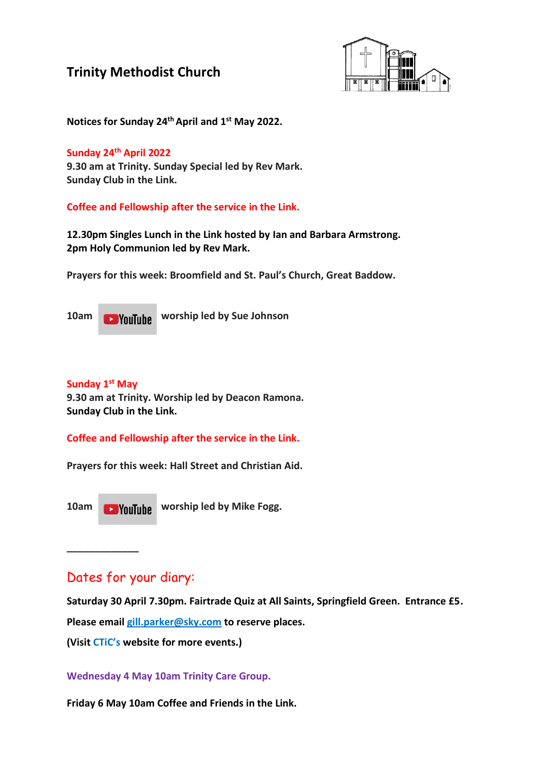

**Notices for Sunday 24thApril and 1 st May 2022.**

#### **Sunday 24th April 2022**

**9.30 am at Trinity. Sunday Special led by Rev Mark. Sunday Club in the Link.**

**Coffee and Fellowship after the service in the Link.**

**12.30pm Singles Lunch in the Link hosted by Ian and Barbara Armstrong. 2pm Holy Communion led by Rev Mark.**

**Prayers for this week: Broomfield and St. Paul's Church, Great Baddow.**

**10am Would by Sue Johnson** 

### **Sunday 1 st May**

**9.30 am at Trinity. Worship led by Deacon Ramona. Sunday Club in the Link.**

**Coffee and Fellowship after the service in the Link.**

**Prayers for this week: Hall Street and Christian Aid.**

**\_\_\_\_\_\_\_\_\_\_\_\_\_**

10am **Would by Mike Fogg.** 

### Dates for your diary:

**Saturday 30 April 7.30pm. Fairtrade Quiz at All Saints, Springfield Green. Entrance £5.** 

**Please email [gill.parker@sky.com](mailto:gill.parker@sky.com) to reserve places.**

**(Visit CTiC's website for more events.)**

**Wednesday 4 May 10am Trinity Care Group.**

**Friday 6 May 10am Coffee and Friends in the Link.**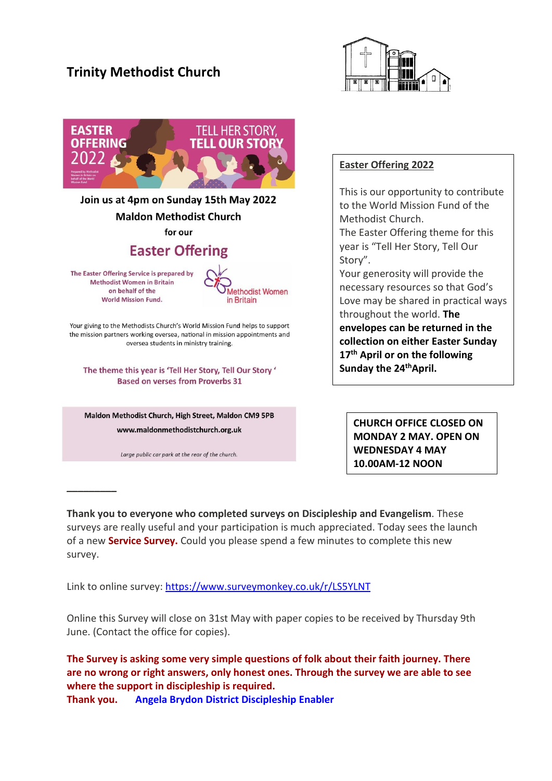



**\_\_\_\_\_\_\_\_\_**

### **Easter Offering 2022**

This is our opportunity to contribute to the World Mission Fund of the Methodist Church.

The Easter Offering theme for this year is "Tell Her Story, Tell Our Story".

Your generosity will provide the necessary resources so that God's Love may be shared in practical ways throughout the world. **The envelopes can be returned in the collection on either Easter Sunday 17th April or on the following Sunday the 24thApril.**

**CHURCH OFFICE CLOSED ON MONDAY 2 MAY. OPEN ON WEDNESDAY 4 MAY 10.00AM-12 NOON**

**Thank you to everyone who completed surveys on Discipleship and Evangelism**. These surveys are really useful and your participation is much appreciated. Today sees the launch of a new **Service Survey.** Could you please spend a few minutes to complete this new survey.

Link to online survey: <https://www.surveymonkey.co.uk/r/LS5YLNT>

Online this Survey will close on 31st May with paper copies to be received by Thursday 9th June. (Contact the office for copies).

**The Survey is asking some very simple questions of folk about their faith journey. There are no wrong or right answers, only honest ones. Through the survey we are able to see where the support in discipleship is required. Thank you. Angela Brydon District Discipleship Enabler**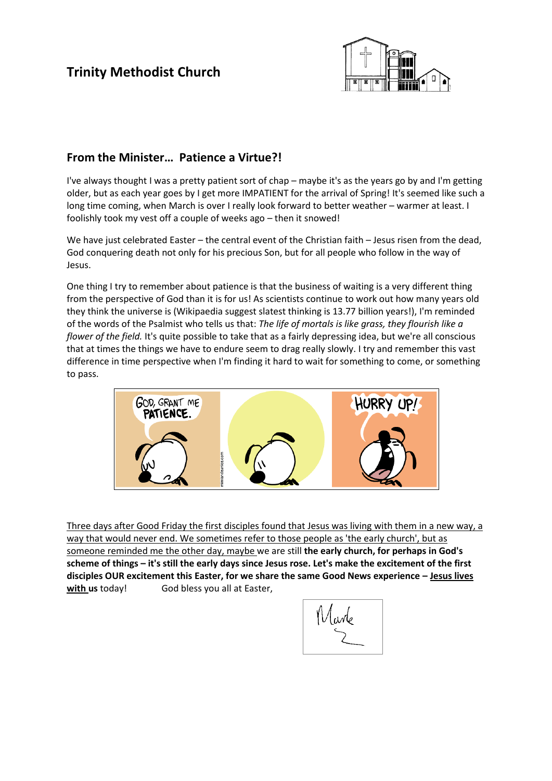

### **From the Minister… Patience a Virtue?!**

I've always thought I was a pretty patient sort of chap – maybe it's as the years go by and I'm getting older, but as each year goes by I get more IMPATIENT for the arrival of Spring! It's seemed like such a long time coming, when March is over I really look forward to better weather – warmer at least. I foolishly took my vest off a couple of weeks ago – then it snowed!

We have just celebrated Easter – the central event of the Christian faith – Jesus risen from the dead, God conquering death not only for his precious Son, but for all people who follow in the way of Jesus.

One thing I try to remember about patience is that the business of waiting is a very different thing from the perspective of God than it is for us! As scientists continue to work out how many years old they think the universe is (Wikipaedia suggest slatest thinking is 13.77 billion years!), I'm reminded of the words of the Psalmist who tells us that: *The life of mortals is like grass, they flourish like a flower of the field.* It's quite possible to take that as a fairly depressing idea, but we're all conscious that at times the things we have to endure seem to drag really slowly. I try and remember this vast difference in time perspective when I'm finding it hard to wait for something to come, or something to pass.



Three days after Good Friday the first disciples found that Jesus was living with them in a new way, a way that would never end. We sometimes refer to those people as 'the early church', but as someone reminded me the other day, maybe we are still **the early church, for perhaps in God's scheme of things – it's still the early days since Jesus rose. Let's make the excitement of the first disciples OUR excitement this Easter, for we share the same Good News experience – Jesus lives**  with us today! God bless you all at Easter,